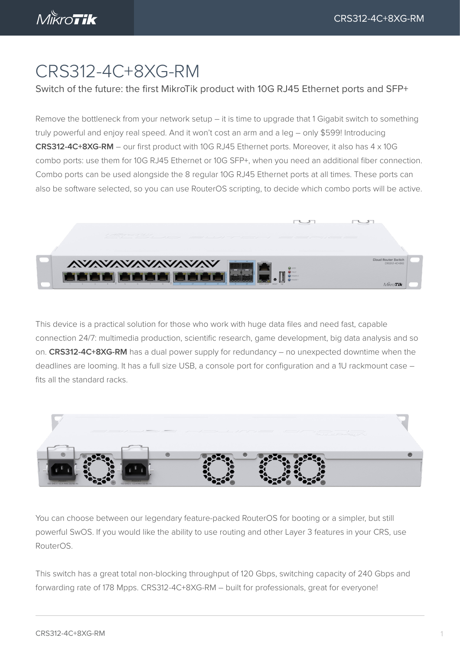## CRS312-4C+8XG-RM

## Switch of the future: the first MikroTik product with 10G RJ45 Ethernet ports and SFP+

Remove the bottleneck from your network setup – it is time to upgrade that 1 Gigabit switch to something truly powerful and enjoy real speed. And it won't cost an arm and a leg – only \$599! Introducing **CRS312-4C+8XG-RM** – our first product with 10G RJ45 Ethernet ports. Moreover, it also has 4 x 10G combo ports: use them for 10G RJ45 Ethernet or 10G SFP+, when you need an additional fiber connection. Combo ports can be used alongside the 8 regular 10G RJ45 Ethernet ports at all times. These ports can also be software selected, so you can use RouterOS scripting, to decide which combo ports will be active.



This device is a practical solution for those who work with huge data files and need fast, capable connection 24/7: multimedia production, scientific research, game development, big data analysis and so on. **CRS312-4C+8XG-RM** has a dual power supply for redundancy – no unexpected downtime when the deadlines are looming. It has a full size USB, a console port for configuration and a 1U rackmount case – fits all the standard racks.



You can choose between our legendary feature-packed RouterOS for booting or a simpler, but still powerful SwOS. If you would like the ability to use routing and other Layer 3 features in your CRS, use RouterOS.

This switch has a great total non-blocking throughput of 120 Gbps, switching capacity of 240 Gbps and forwarding rate of 178 Mpps. CRS312-4C+8XG-RM – built for professionals, great for everyone!